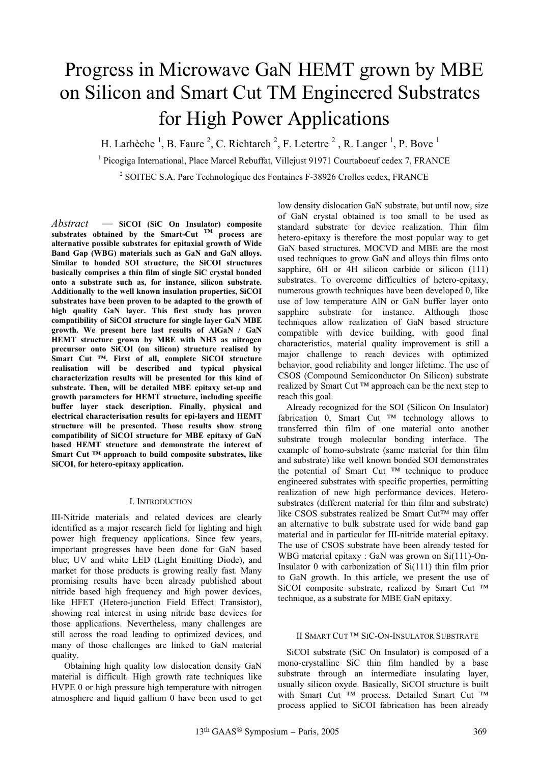# Progress in Microwave GaN HEMT grown by MBE on Silicon and Smart Cut TM Engineered Substrates for High Power Applications

H. Larhèche<sup>1</sup>, B. Faure<sup>2</sup>, C. Richtarch<sup>2</sup>, F. Letertre<sup>2</sup>, R. Langer<sup>1</sup>, P. Bove<sup>1</sup>

<sup>1</sup> Picogiga International, Place Marcel Rebuffat, Villejust 91971 Courtaboeuf cedex 7, FRANCE

<sup>2</sup> SOITEC S.A. Parc Technologique des Fontaines F-38926 Crolles cedex, FRANCE

*Abstract* — **SiCOI (SiC On Insulator) composite substrates obtained by the Smart-Cut TM process are alternative possible substrates for epitaxial growth of Wide Band Gap (WBG) materials such as GaN and GaN alloys. Similar to bonded SOI structure, the SiCOI structures basically comprises a thin film of single SiC crystal bonded onto a substrate such as, for instance, silicon substrate. Additionally to the well known insulation properties, SiCOI substrates have been proven to be adapted to the growth of high quality GaN layer. This first study has proven compatibility of SiCOI structure for single layer GaN MBE growth. We present here last results of AlGaN / GaN HEMT structure grown by MBE with NH3 as nitrogen precursor onto SiCOI (on silicon) structure realised by Smart Cut ™. First of all, complete SiCOI structure realisation will be described and typical physical characterization results will be presented for this kind of substrate. Then, will be detailed MBE epitaxy set-up and growth parameters for HEMT structure, including specific buffer layer stack description. Finally, physical and electrical characterisation results for epi-layers and HEMT structure will be presented. Those results show strong compatibility of SiCOI structure for MBE epitaxy of GaN based HEMT structure and demonstrate the interest of Smart Cut ™ approach to build composite substrates, like SiCOI, for hetero-epitaxy application.**

## I. INTRODUCTION

III-Nitride materials and related devices are clearly identified as a major research field for lighting and high power high frequency applications. Since few years, important progresses have been done for GaN based blue, UV and white LED (Light Emitting Diode), and market for those products is growing really fast. Many promising results have been already published about nitride based high frequency and high power devices, like HFET (Hetero-junction Field Effect Transistor), showing real interest in using nitride base devices for those applications. Nevertheless, many challenges are still across the road leading to optimized devices, and many of those challenges are linked to GaN material quality.

Obtaining high quality low dislocation density GaN material is difficult. High growth rate techniques like HVPE 0 or high pressure high temperature with nitrogen atmosphere and liquid gallium 0 have been used to get low density dislocation GaN substrate, but until now, size of GaN crystal obtained is too small to be used as standard substrate for device realization. Thin film hetero-epitaxy is therefore the most popular way to get GaN based structures. MOCVD and MBE are the most used techniques to grow GaN and alloys thin films onto sapphire, 6H or 4H silicon carbide or silicon (111) substrates. To overcome difficulties of hetero-epitaxy, numerous growth techniques have been developed 0, like use of low temperature AlN or GaN buffer layer onto sapphire substrate for instance. Although those techniques allow realization of GaN based structure compatible with device building, with good final characteristics, material quality improvement is still a major challenge to reach devices with optimized behavior, good reliability and longer lifetime. The use of CSOS (Compound Semiconductor On Silicon) substrate realized by Smart Cut ™ approach can be the next step to reach this goal.

Already recognized for the SOI (Silicon On Insulator) fabrication 0, Smart Cut <sup>™</sup> technology allows to transferred thin film of one material onto another substrate trough molecular bonding interface. The example of homo-substrate (same material for thin film and substrate) like well known bonded SOI demonstrates the potential of Smart Cut ™ technique to produce engineered substrates with specific properties, permitting realization of new high performance devices. Heterosubstrates (different material for thin film and substrate) like CSOS substrates realized be Smart Cut™ may offer an alternative to bulk substrate used for wide band gap material and in particular for III-nitride material epitaxy. The use of CSOS substrate have been already tested for WBG material epitaxy : GaN was grown on Si(111)-On-Insulator 0 with carbonization of Si(111) thin film prior to GaN growth. In this article, we present the use of SiCOI composite substrate, realized by Smart Cut ™ technique, as a substrate for MBE GaN epitaxy.

## II SMART CUT ™ SIC-ON-INSULATOR SUBSTRATE

SiCOI substrate (SiC On Insulator) is composed of a mono-crystalline SiC thin film handled by a base substrate through an intermediate insulating layer, usually silicon oxyde. Basically, SiCOI structure is built with Smart Cut ™ process. Detailed Smart Cut ™ process applied to SiCOI fabrication has been already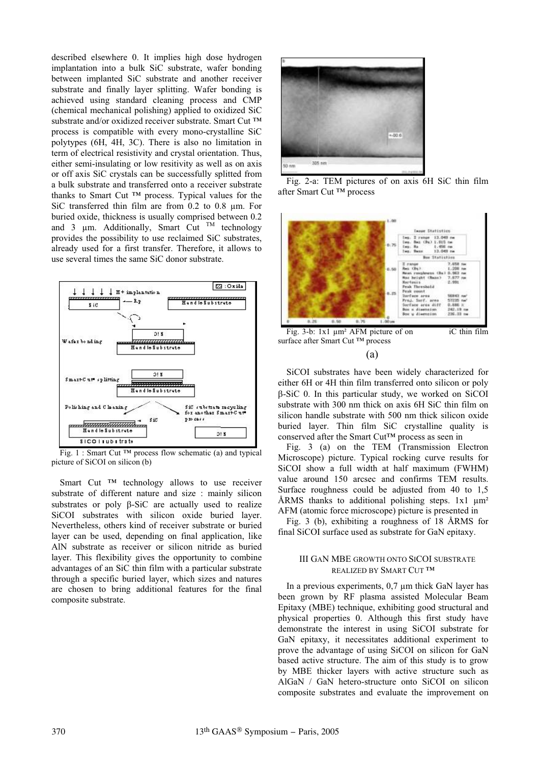described elsewhere 0. It implies high dose hydrogen implantation into a bulk SiC substrate, wafer bonding between implanted SiC substrate and another receiver substrate and finally layer splitting. Wafer bonding is achieved using standard cleaning process and CMP (chemical mechanical polishing) applied to oxidized SiC substrate and/or oxidized receiver substrate. Smart Cut ™ process is compatible with every mono-crystalline SiC polytypes (6H, 4H, 3C). There is also no limitation in term of electrical resistivity and crystal orientation. Thus, either semi-insulating or low resitivity as well as on axis or off axis SiC crystals can be successfully splitted from a bulk substrate and transferred onto a receiver substrate thanks to Smart Cut ™ process. Typical values for the SiC transferred thin film are from 0.2 to 0.8 um. For buried oxide, thickness is usually comprised between 0.2 and 3  $\mu$ m. Additionally, Smart Cut <sup>TM</sup> technology provides the possibility to use reclaimed SiC substrates, already used for a first transfer. Therefore, it allows to use several times the same SiC donor substrate.



Fig. 1 : Smart Cut <sup>™</sup> process flow schematic (a) and typical picture of SiCOI on silicon (b)

Smart Cut ™ technology allows to use receiver substrate of different nature and size : mainly silicon substrates or poly  $\beta$ -SiC are actually used to realize SiCOI substrates with silicon oxide buried layer. Nevertheless, others kind of receiver substrate or buried layer can be used, depending on final application, like AlN substrate as receiver or silicon nitride as buried layer. This flexibility gives the opportunity to combine advantages of an SiC thin film with a particular substrate through a specific buried layer, which sizes and natures are chosen to bring additional features for the final composite substrate.



Fig. 2-a: TEM pictures of on axis 6H SiC thin film after Smart Cut ™ process



Fig. 3-b:  $1x1 \mu m^2$  AFM picture of on a axis 6 iC thin film surface after Smart Cut ™ process

(a)

SiCOI substrates have been widely characterized for either 6H or 4H thin film transferred onto silicon or poly E-SiC 0. In this particular study, we worked on SiCOI substrate with 300 nm thick on axis 6H SiC thin film on silicon handle substrate with 500 nm thick silicon oxide buried layer. Thin film SiC crystalline quality is conserved after the Smart Cut™ process as seen in

Fig. 3 (a) on the TEM (Transmission Electron Microscope) picture. Typical rocking curve results for SiCOI show a full width at half maximum (FWHM) value around 150 arcsec and confirms TEM results. Surface roughness could be adjusted from 40 to 1,5 ÅRMS thanks to additional polishing steps.  $1x1 \mu m^2$ AFM (atomic force microscope) picture is presented in

Fig. 3 (b), exhibiting a roughness of 18 ÅRMS for final SiCOI surface used as substrate for GaN epitaxy.

### III GAN MBE GROWTH ONTO SICOI SUBSTRATE REALIZED BY SMART CUT TM

In a previous experiments,  $0.7 \mu m$  thick GaN layer has been grown by RF plasma assisted Molecular Beam Epitaxy (MBE) technique, exhibiting good structural and physical properties 0. Although this first study have demonstrate the interest in using SiCOI substrate for GaN epitaxy, it necessitates additional experiment to prove the advantage of using SiCOI on silicon for GaN based active structure. The aim of this study is to grow by MBE thicker layers with active structure such as AlGaN / GaN hetero-structure onto SiCOI on silicon composite substrates and evaluate the improvement on